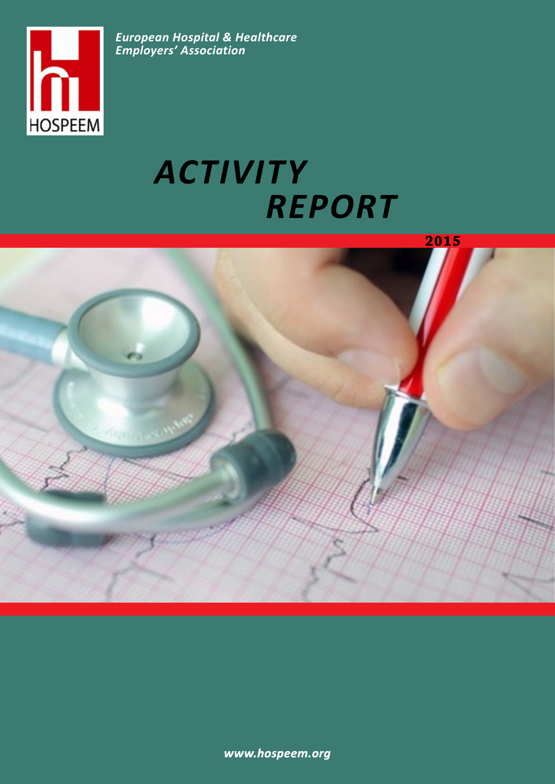<span id="page-0-0"></span>

*European Hospital & Healthcare Employers' Association*

# *Activity Report*



*www.hospeem.org*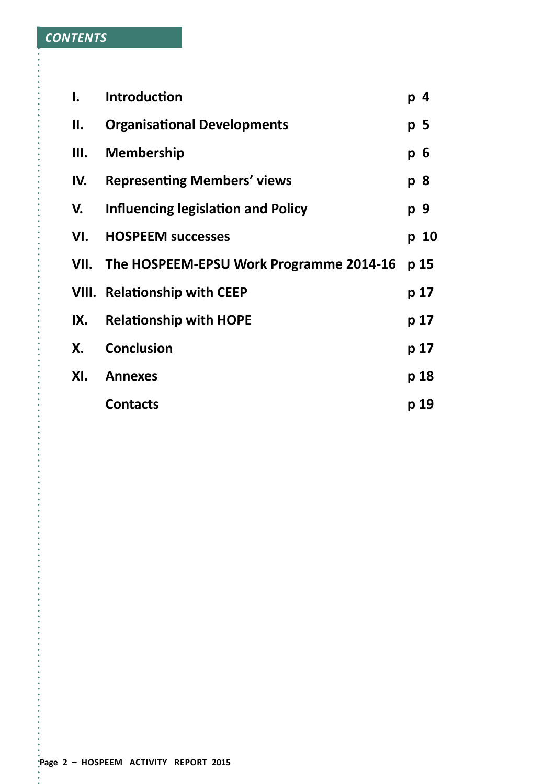| I.  | <b>Introduction</b>                          | p 4            |
|-----|----------------------------------------------|----------------|
| П.  | <b>Organisational Developments</b>           | p <sub>5</sub> |
| Ш.  | <b>Membership</b>                            | $p\,6$         |
| IV. | <b>Representing Members' views</b>           | p 8            |
| V.  | Influencing legislation and Policy           | p 9            |
| VI. | <b>HOSPEEM successes</b>                     | p 10           |
|     | VII. The HOSPEEM-EPSU Work Programme 2014-16 | p 15           |
|     | <b>VIII. Relationship with CEEP</b>          | p 17           |
| IX. | <b>Relationship with HOPE</b>                | p 17           |
| Х.  | <b>Conclusion</b>                            | p 17           |
| XI. | <b>Annexes</b>                               | p 18           |
|     | <b>Contacts</b>                              | p 19           |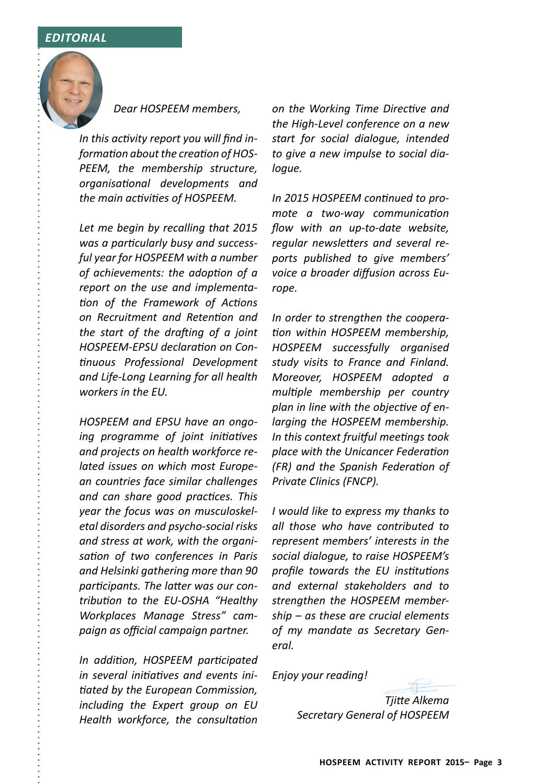#### *editorial*



*Dear HOSPEEM members,*

*In this activity report you will find information about the creation of HOS-PEEM, the membership structure, organisational developments and the main activities of HOSPEEM.*

*Let me begin by recalling that 2015 was a particularly busy and successful year for HOSPEEM with a number of achievements: the adoption of a report on the use and implementation of the Framework of Actions on Recruitment and Retention and the start of the drafting of a joint HOSPEEM-EPSU declaration on Continuous Professional Development and Life-Long Learning for all health workers in the EU.* 

*HOSPEEM and EPSU have an ongoing programme of joint initiatives and projects on health workforce related issues on which most European countries face similar challenges and can share good practices. This year the focus was on musculoskeletal disorders and psycho-social risks and stress at work, with the organisation of two conferences in Paris and Helsinki gathering more than 90 participants. The latter was our contribution to the EU-OSHA "Healthy Workplaces Manage Stress" campaign as official campaign partner.*

*In addition, HOSPEEM participated in several initiatives and events initiated by the European Commission, including the Expert group on EU Health workforce, the consultation* 

*on the Working Time Directive and the High-Level conference on a new start for social dialogue, intended to give a new impulse to social dialogue.*

*In 2015 HOSPEEM continued to promote a two-way communication flow with an up-to-date website, regular newsletters and several reports published to give members' voice a broader diffusion across Europe.*

*In order to strengthen the cooperation within HOSPEEM membership, HOSPEEM successfully organised study visits to France and Finland. Moreover, HOSPEEM adopted a multiple membership per country plan in line with the objective of enlarging the HOSPEEM membership. In this context fruitful meetings took place with the Unicancer Federation (FR) and the Spanish Federation of Private Clinics (FNCP).*

*I would like to express my thanks to all those who have contributed to represent members' interests in the social dialogue, to raise HOSPEEM's profile towards the EU institutions and external stakeholders and to strengthen the HOSPEEM membership – as these are crucial elements of my mandate as Secretary General.*

*Enjoy your reading!*



*Tjitte Alkema Secretary General of HOSPEEM*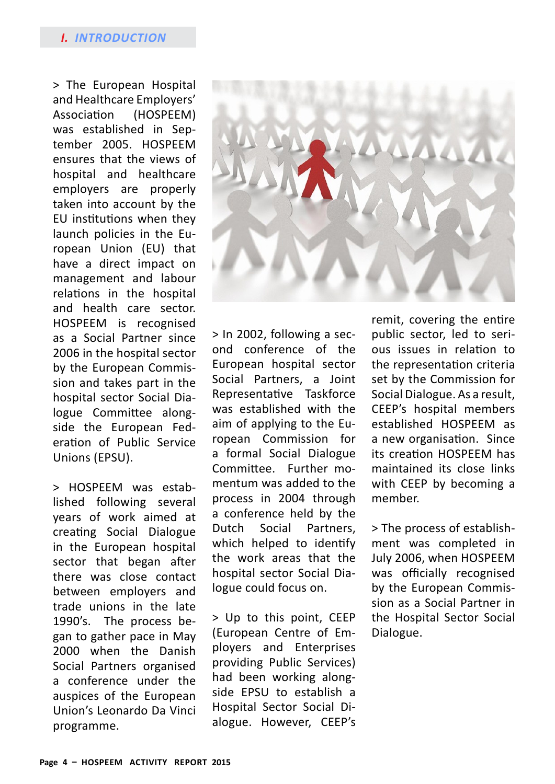#### *I. introduction*

> The European Hospital and Healthcare Employers' Association (HOSPEEM) was established in September 2005. HOSPEEM ensures that the views of hospital and healthcare employers are properly taken into account by the EU institutions when they launch policies in the European Union (EU) that have a direct impact on management and labour relations in the hospital and health care sector. HOSPEEM is recognised as a Social Partner since 2006 in the hospital sector by the European Commission and takes part in the hospital sector Social Dialogue Committee alongside the European Federation of Public Service Unions (EPSU).

> HOSPEEM was established following several years of work aimed at creating Social Dialogue in the European hospital sector that began after there was close contact between employers and trade unions in the late 1990's. The process began to gather pace in May 2000 when the Danish Social Partners organised a conference under the auspices of the European Union's Leonardo Da Vinci programme.



> In 2002, following a second conference of the European hospital sector Social Partners, a Joint Representative Taskforce was established with the aim of applying to the European Commission for a formal Social Dialogue Committee. Further momentum was added to the process in 2004 through a conference held by the Dutch Social Partners, which helped to identify the work areas that the hospital sector Social Dialogue could focus on.

> Up to this point, CEEP (European Centre of Employers and Enterprises providing Public Services) had been working alongside EPSU to establish a Hospital Sector Social Dialogue. However, CEEP's

remit, covering the entire public sector, led to serious issues in relation to the representation criteria set by the Commission for Social Dialogue. As a result, CEEP's hospital members established HOSPEEM as a new organisation. Since its creation HOSPEEM has maintained its close links with CEEP by becoming a member.

> The process of establishment was completed in July 2006, when HOSPEEM was officially recognised by the European Commission as a Social Partner in the Hospital Sector Social Dialogue.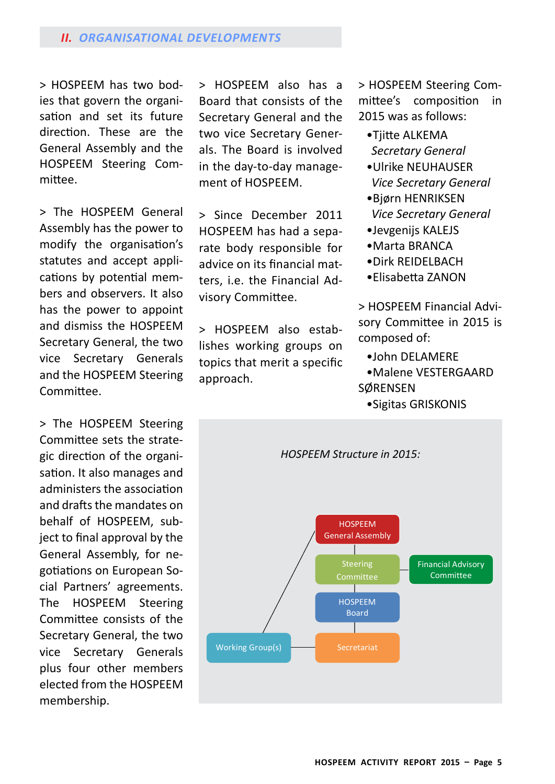#### *II. Organisational developMents*

> HOSPEEM has two bodies that govern the organisation and set its future direction. These are the General Assembly and the HOSPEEM Steering Committee.

> The HOSPEEM General Assembly has the power to modify the organisation's statutes and accept applications by potential members and observers. It also has the power to appoint and dismiss the HOSPEEM Secretary General, the two vice Secretary Generals and the HOSPEEM Steering Committee.

> The HOSPEEM Steering Committee sets the strategic direction of the organisation. It also manages and administers the association and drafts the mandates on behalf of HOSPEEM, subject to final approval by the General Assembly, for negotiations on European Social Partners' agreements. The HOSPEEM Steering Committee consists of the Secretary General, the two vice Secretary Generals plus four other members elected from the HOSPEEM membership.

> HOSPEEM also has a Board that consists of the Secretary General and the two vice Secretary Generals. The Board is involved in the day-to-day management of HOSPEEM.

> Since December 2011 HOSPEEM has had a separate body responsible for advice on its financial matters, i.e. the Financial Advisory Committee.

> HOSPEEM also establishes working groups on topics that merit a specific approach.

> HOSPEEM Steering Committee's composition in 2015 was as follows:

- •Tiitte ALKEMA *Secretary General*
- •Ulrike Neuhauser *Vice Secretary General*
- •Bjørn HENRIKSEN *Vice Secretary General*
- •Jevgenijs Kalejs
- •Marta BRANCA
- •Dirk REIDELBACH
- •Elisabetta ZANON

> HOSPEEM Financial Advisory Committee in 2015 is composed of:

- •John Delamere
- •Malene VESTERGAARD SØRENSEN
	- •Sigitas Griskonis

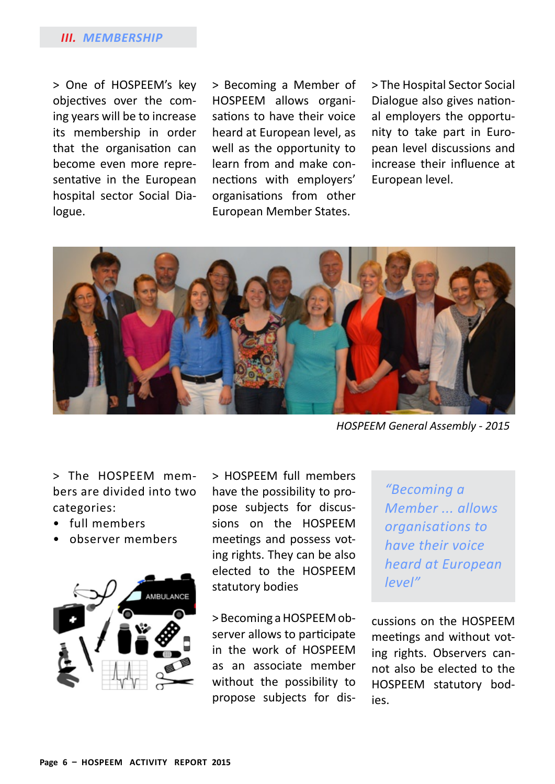#### *III. Membership*

> One of HOSPEEM's key objectives over the coming years will be to increase its membership in order that the organisation can become even more representative in the European hospital sector Social Dialogue.

> Becoming a Member of HOSPEEM allows organisations to have their voice heard at European level, as well as the opportunity to learn from and make connections with employers' organisations from other European Member States.

> The Hospital Sector Social Dialogue also gives national employers the opportunity to take part in European level discussions and increase their influence at European level.



*HOSPEEM General Assembly - 2015*

> The HOSPEEM members are divided into two categories:

- full members
- observer members



> HOSPEEM full members have the possibility to propose subjects for discussions on the HOSPEEM meetings and possess voting rights. They can be also elected to the HOSPEEM statutory bodies

> Becoming a HOSPEEM observer allows to participate in the work of HOSPEEM as an associate member without the possibility to propose subjects for dis-

*"Becoming a Member ... allows organisations to have their voice heard at European level"*

cussions on the HOSPEEM meetings and without voting rights. Observers cannot also be elected to the HOSPEEM statutory bodies.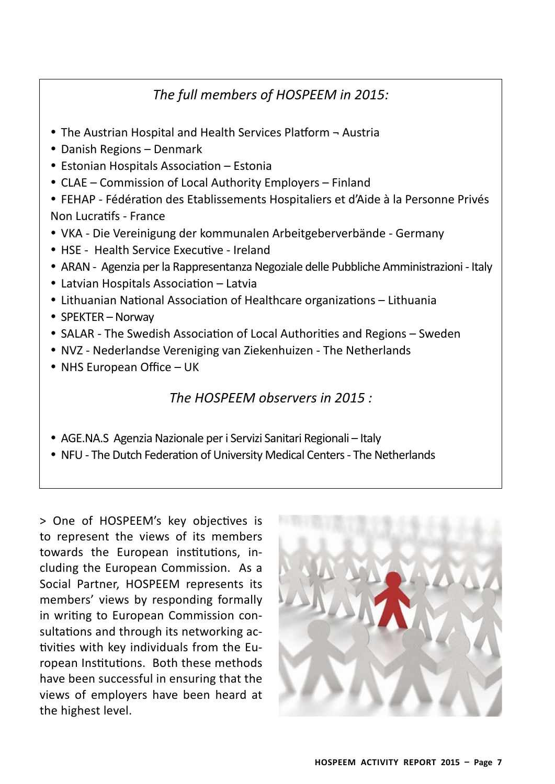# *The full members of HOSPEEM in 2015:*

- The Austrian Hospital and Health Services Platform Austria
- Danish Regions Denmark
- Estonian Hospitals Association Estonia
- CLAE Commission of Local Authority Employers Finland
- y FEHAP Fédération des Etablissements Hospitaliers et d'Aide à la Personne Privés Non Lucratifs - France
- VKA Die Vereinigung der kommunalen Arbeitgeberverbände Germany
- HSE Health Service Executive Ireland
- ARAN Agenzia per la Rappresentanza Negoziale delle Pubbliche Amministrazioni Italy
- Latvian Hospitals Association Latvia
- Lithuanian National Association of Healthcare organizations Lithuania
- SPEKTER Norway
- SALAR The Swedish Association of Local Authorities and Regions Sweden
- NVZ Nederlandse Vereniging van Ziekenhuizen The Netherlands
- NHS European Office UK

## *The HOSPEEM observers in 2015 :*

- AGE.NA.S Agenzia Nazionale per i Servizi Sanitari Regionali Italy
- NFU The Dutch Federation of University Medical Centers The Netherlands

> One of HOSPEEM's key objectives is to represent the views of its members towards the European institutions, including the European Commission. As a Social Partner, HOSPEEM represents its members' views by responding formally in writing to European Commission consultations and through its networking activities with key individuals from the European Institutions. Both these methods have been successful in ensuring that the views of employers have been heard at the highest level.

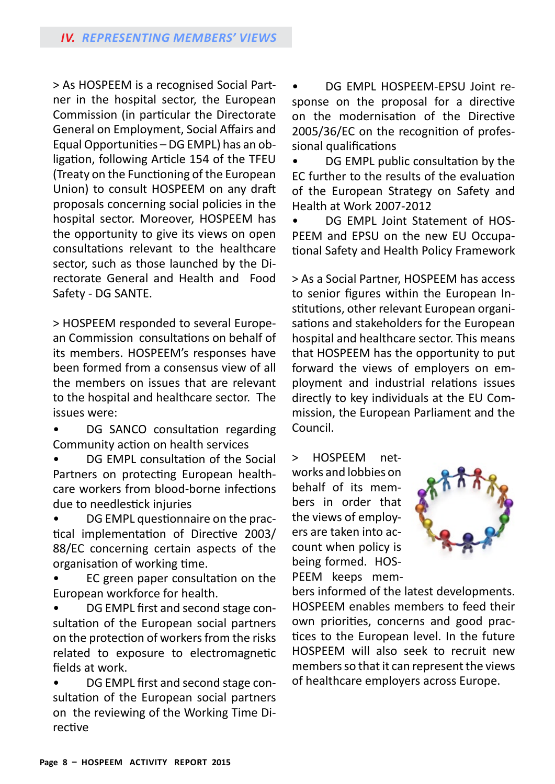> As HOSPEEM is a recognised Social Partner in the hospital sector, the European Commission (in particular the Directorate General on Employment, Social Affairs and Equal Opportunities – DG EMPL) has an obligation, following Article 154 of the TFEU (Treaty on the Functioning of the European Union) to consult HOSPEEM on any draft proposals concerning social policies in the hospital sector. Moreover, HOSPEEM has the opportunity to give its views on open consultations relevant to the healthcare sector, such as those launched by the Directorate General and Health and Food Safety - DG SANTE.

> HOSPEEM responded to several European Commission consultations on behalf of its members. HOSPEEM's responses have been formed from a consensus view of all the members on issues that are relevant to the hospital and healthcare sector. The issues were:

• DG SANCO consultation regarding Community action on health services

• DG EMPL consultation of the Social Partners on protecting European healthcare workers from blood-borne infections due to needlestick injuries

• DG EMPL questionnaire on the practical implementation of Directive 2003/ 88/EC concerning certain aspects of the organisation of working time.

• EC green paper consultation on the European workforce for health.

• DG EMPL first and second stage consultation of the European social partners on the protection of workers from the risks related to exposure to electromagnetic fields at work.

• DG EMPL first and second stage consultation of the European social partners on the reviewing of the Working Time Directive

• DG EMPL HOSPEEM-EPSU Joint response on the proposal for a directive on the modernisation of the Directive 2005/36/EC on the recognition of professional qualifications

• DG EMPL public consultation by the EC further to the results of the evaluation of the European Strategy on Safety and Health at Work 2007-2012

• DG EMPL Joint Statement of HOS-PEEM and EPSU on the new EU Occupational Safety and Health Policy Framework

> As a Social Partner, HOSPEEM has access to senior figures within the European Institutions, other relevant European organisations and stakeholders for the European hospital and healthcare sector. This means that HOSPEEM has the opportunity to put forward the views of employers on employment and industrial relations issues directly to key individuals at the EU Commission, the European Parliament and the Council.

> HOSPEEM networks and lobbies on behalf of its members in order that the views of employers are taken into account when policy is being formed. HOS-PEEM keeps mem-



bers informed of the latest developments. HOSPEEM enables members to feed their own priorities, concerns and good practices to the European level. In the future HOSPEEM will also seek to recruit new members so that it can represent the views of healthcare employers across Europe.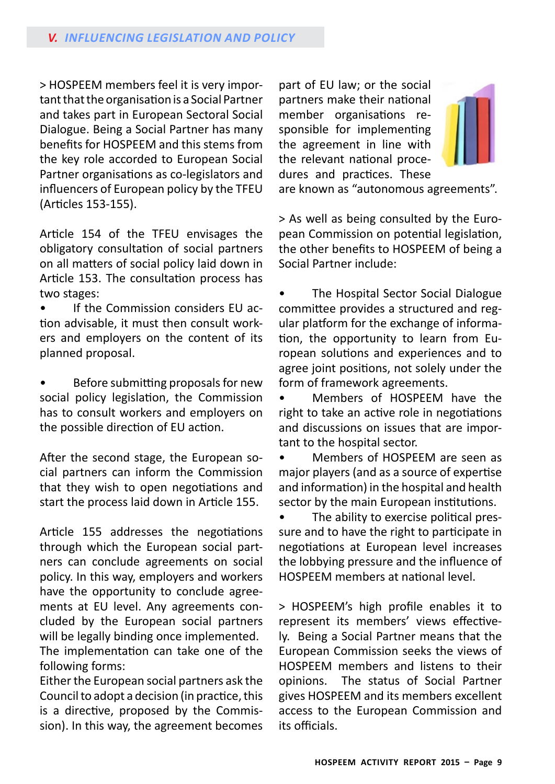> HOSPEEM members feel it is very important that the organisation is a Social Partner and takes part in European Sectoral Social Dialogue. Being a Social Partner has many benefits for HOSPEEM and this stems from the key role accorded to European Social Partner organisations as co-legislators and influencers of European policy by the TFEU (Articles 153-155).

Article 154 of the TFEU envisages the obligatory consultation of social partners on all matters of social policy laid down in Article 153. The consultation process has two stages:

• If the Commission considers EU action advisable, it must then consult workers and employers on the content of its planned proposal.

• Before submitting proposals for new social policy legislation, the Commission has to consult workers and employers on the possible direction of EU action.

After the second stage, the European social partners can inform the Commission that they wish to open negotiations and start the process laid down in Article 155.

Article 155 addresses the negotiations through which the European social partners can conclude agreements on social policy. In this way, employers and workers have the opportunity to conclude agreements at EU level. Any agreements concluded by the European social partners will be legally binding once implemented. The implementation can take one of the

following forms: Either the European social partners ask the Council to adopt a decision (in practice, this is a directive, proposed by the Commission). In this way, the agreement becomes

part of EU law; or the social partners make their national member organisations responsible for implementing the agreement in line with the relevant national procedures and practices. These



are known as "autonomous agreements".

> As well as being consulted by the European Commission on potential legislation, the other benefits to HOSPEEM of being a Social Partner include:

• The Hospital Sector Social Dialogue committee provides a structured and regular platform for the exchange of information, the opportunity to learn from European solutions and experiences and to agree joint positions, not solely under the form of framework agreements.

• Members of HOSPEEM have the right to take an active role in negotiations and discussions on issues that are important to the hospital sector.

• Members of HOSPEEM are seen as major players (and as a source of expertise and information) in the hospital and health sector by the main European institutions.

• The ability to exercise political pressure and to have the right to participate in negotiations at European level increases the lobbying pressure and the influence of HOSPEEM members at national level.

> HOSPEEM's high profile enables it to represent its members' views effectively. Being a Social Partner means that the European Commission seeks the views of HOSPEEM members and listens to their opinions. The status of Social Partner gives HOSPEEM and its members excellent access to the European Commission and its officials.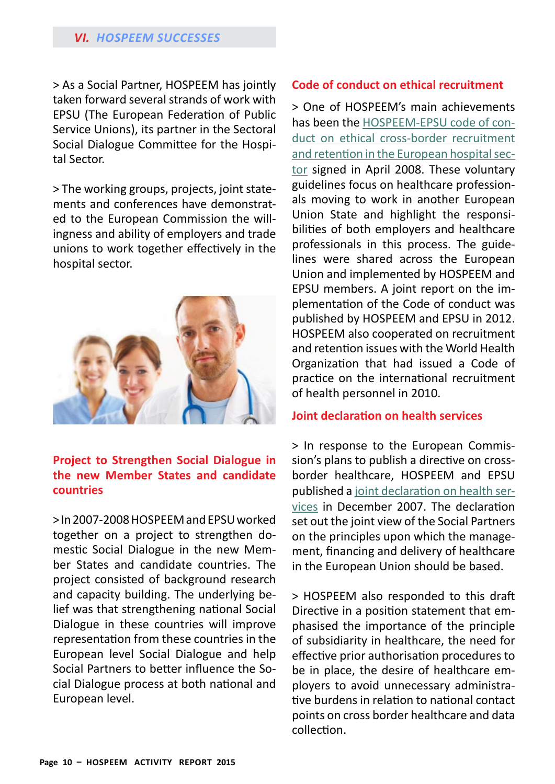> As a Social Partner, HOSPEEM has jointly taken forward several strands of work with EPSU (The European Federation of Public Service Unions), its partner in the Sectoral Social Dialogue Committee for the Hospital Sector.

> The working groups, projects, joint statements and conferences have demonstrated to the European Commission the willingness and ability of employers and trade unions to work together effectively in the hospital sector.



#### **Project to Strengthen Social Dialogue in the new Member States and candidate countries**

> In 2007-2008 HOSPEEM and EPSU worked together on a project to strengthen domestic Social Dialogue in the new Member States and candidate countries. The project consisted of background research and capacity building. The underlying belief was that strengthening national Social Dialogue in these countries will improve representation from these countries in the European level Social Dialogue and help Social Partners to better influence the Social Dialogue process at both national and European level.

#### **Code of conduct on ethical recruitment**

> One of HOSPEEM's main achievements has been the HOSPEEM-EPSU code of conduct on ethical cross-border recruitment and retention in the European hospital sector signed in April 2008. These voluntary guidelines focus on healthcare professionals moving to work in another European Union State and highlight the responsibilities of both employers and healthcare professionals in this process. The guidelines were shared across the European Union and implemented by HOSPEEM and EPSU members. A joint report on the implementation of the Code of conduct was published by HOSPEEM and EPSU in 2012. HOSPEEM also cooperated on recruitment and retention issues with the World Health Organization that had issued a Code of practice on the international recruitment of health personnel in 2010.

#### **Joint declaration on health services**

> In response to the European Commission's plans to publish a directive on crossborder healthcare, HOSPEEM and EPSU published a joint declaration on health services in December 2007. The declaration set out the joint view of the Social Partners on the principles upon which the management, financing and delivery of healthcare in the European Union should be based.

> HOSPEEM also responded to this draft Directive in a position statement that emphasised the importance of the principle of subsidiarity in healthcare, the need for effective prior authorisation procedures to be in place, the desire of healthcare employers to avoid unnecessary administrative burdens in relation to national contact points on cross border healthcare and data collection.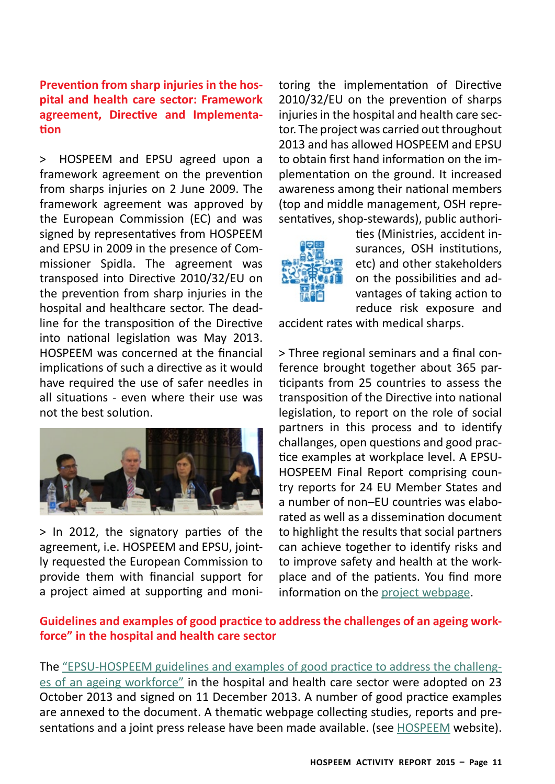## **Prevention from sharp injuries in the hospital and health care sector: Framework agreement, Directive and Implementation**

into national legislation was May 2013. **4 février 2013** implications of such a directive as it would have required the use of safer needles in > HOSPEEM and EPSU agreed upon a framework agreement on the prevention from sharps injuries on 2 June 2009. The framework agreement was approved by the European Commission (EC) and was signed by representatives from HOSPEEM and EPSU in 2009 in the presence of Commissioner Spidla. The agreement was transposed into Directive 2010/32/EU on the prevention from sharp injuries in the hospital and healthcare sector. The deadline for the transposition of the Directive HOSPEEM was concerned at the financial all situations - even where their use was not the best solution.



> In 2012, the signatory parties of the agreement, i.e. HOSPEEM and EPSU, jointly requested the European Commission to provide them with financial support for a project aimed at supporting and moni-

toring the implementation of Directive 2010/32/EU on the prevention of sharps injuries in the hospital and health care sector. The project was carried out throughout 2013 and has allowed HOSPEEM and EPSU to obtain first hand information on the implementation on the ground. It increased awareness among their national members (top and middle management, OSH representatives, shop-stewards), public authori-



**Promotion et aide à la mise en œuvre de la**  ties (Ministries, accident insurances, OSH institutions, etc) and other stakeholders on the possibilities and advantages of taking action to reduce risk exposure and

e accident rates with medical sharps.

> Three regional seminars and a final conference brought together about 365 participants from 25 countries to assess the transposition of the Directive into national legislation, to report on the role of social partners in this process and to identify challanges, open questions and good practice examples at workplace level. A EPSU-HOSPEEM Final Report comprising country reports for 24 EU Member States and a number of non–EU countries was elaborated as well as a dissemination document to highlight the results that social partners can achieve together to identify risks and to improve safety and health at the workplace and of the patients. You find more information on the project webpage.

## **Guidelines and examples of good practice to addressthe challenges of an ageing workforce" in the hospital and health care sector**

The "EPSU-HOSPEEM guidelines and examples of good practice to address the challenges of an ageing workforce" in the hospital and health care sector were adopted on 23 October 2013 and signed on 11 December 2013. A number of good practice examples are annexed to the document. A thematic webpage collecting studies, reports and presentations and a joint press release have been made available. (see [HOSPEEM](http://hospeem.org/) website).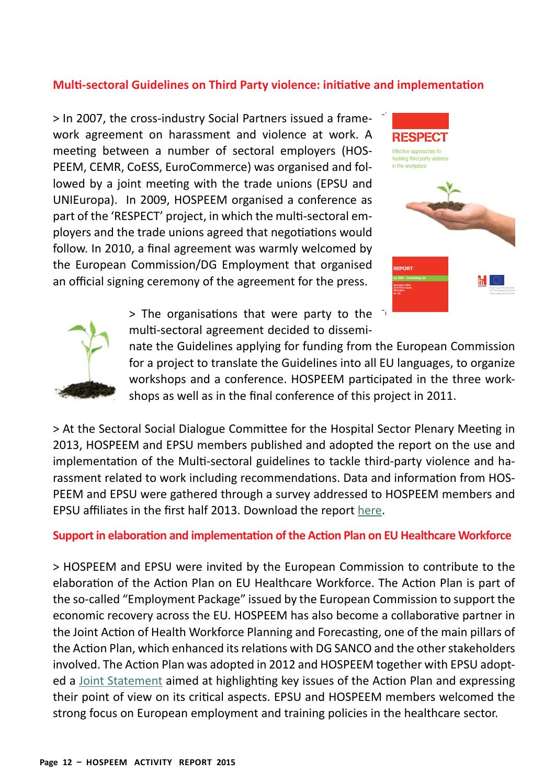## **Multi-sectoral Guidelines on Third Party violence: initiative and implementation**

UNIEuropa). In 2009, HOSPEEM organised a conference as part of the 'RESPECT' project, in which the multi-sectoral emfollow. In 2010, a final agreement was warmly welcomed by the European Commission/DG Employment that organised PEEM, CEMR, CoESS, EuroCommerce) was organised and followed by a joint meeting with the trade unions (EPSU and ployers and the trade unions agreed that negotiations would > In 2007, the cross-industry Social Partners issued a framework agreement on harassment and violence at work. A meeting between a number of sectoral employers (HOSan official signing ceremony of the agreement for the press.





 $>$  The organisations that were party to the multi-sectoral agreement decided to dissemi-

nate the Guidelines applying for funding from the European Commission for a project to translate the Guidelines into all EU languages, to organize workshops and a conference. HOSPEEM participated in the three workshops as well as in the final conference of this project in 2011.

> At the Sectoral Social Dialogue Committee for the Hospital Sector Plenary Meeting in 2013, HOSPEEM and EPSU members published and adopted the report on the use and implementation of the Multi-sectoral guidelines to tackle third-party violence and harassment related to work including recommendations. Data and information from HOS-PEEM and EPSU were gathered through a survey addressed to HOSPEEM members and EPSU affiliates in the first half 2013. Download the report [here.](http://hospeem.org/our-newsletter/adoption-of-implementation-report-of-multi-sectoral-guidelines-to-tackle-work-related-third-party-violence/)

#### **Supportin elaboration and implementation ofthe Action Plan on EU Healthcare Workforce**

> HOSPEEM and EPSU were invited by the European Commission to contribute to the elaboration of the Action Plan on EU Healthcare Workforce. The Action Plan is part of the so-called "Employment Package" issued by the European Commission to support the economic recovery across the EU. HOSPEEM has also become a collaborative partner in the Joint Action of Health Workforce Planning and Forecasting, one of the main pillars of the Action Plan, which enhanced its relations with DG SANCO and the other stakeholders involved. The Action Plan was adopted in 2012 and HOSPEEM together with EPSU adopted a Joint Statement aimed at highlighting key issues of the Action Plan and expressing their point of view on its critical aspects. EPSU and HOSPEEM members welcomed the strong focus on European employment and training policies in the healthcare sector.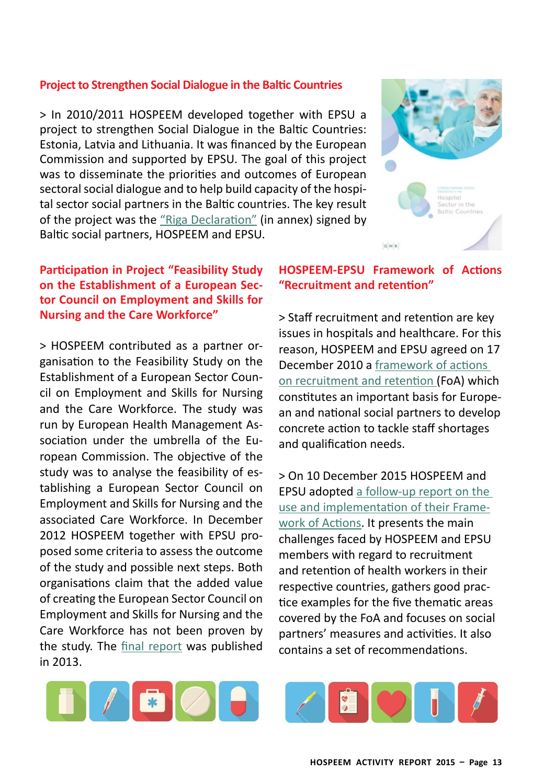#### **Project to Strengthen Social Dialogue in the Baltic Countries**

> In 2010/2011 HOSPEEM developed together with EPSU a project to strengthen Social Dialogue in the Baltic Countries: Estonia, Latvia and Lithuania. It was financed by the European Commission and supported by EPSU. The goal of this project was to disseminate the priorities and outcomes of European sectoral social dialogue and to help build capacity of the hospital sector social partners in the Baltic countries. The key result of the project was the "Riga Declaration" (in annex) signed by Baltic social partners, HOSPEEM and EPSU.

## **Participation in Project "Feasibility Study on the Establishment of a European Sector Council on Employment and Skills for Nursing and the Care Workforce"**

> HOSPEEM contributed as a partner organisation to the Feasibility Study on the Establishment of a European Sector Council on Employment and Skills for Nursing and the Care Workforce. The study was run by European Health Management Association under the umbrella of the European Commission. The objective of the study was to analyse the feasibility of establishing a European Sector Council on Employment and Skills for Nursing and the associated Care Workforce. In December 2012 HOSPEEM together with EPSU proposed some criteria to assess the outcome of the study and possible next steps. Both organisations claim that the added value of creating the European Sector Council on Employment and Skills for Nursing and the Care Workforce has not been proven by the study. The final report was published in 2013.



#### **HOSPEEM-EPSU Framework of Actions "Recruitment and retention"**

> Staff recruitment and retention are key issues in hospitals and healthcare. For this reason, HOSPEEM and EPSU agreed on 17 December 2010 a [framework of actions](http://hospeem.org/wordpress/wp-content/uploads/2014/10/12.17_R_R_Final_EN_signed.pdf)  [on recruitment and retentio](http://hospeem.org/wordpress/wp-content/uploads/2014/10/12.17_R_R_Final_EN_signed.pdf)n (FoA) which constitutes an important basis for European and national social partners to develop concrete action to tackle staff shortages and qualification needs.

> On 10 December 2015 HOSPEEM and EPSU adopted a follow-up report on the use and implementation of their Framework of Actions. It presents the main challenges faced by HOSPEEM and EPSU members with regard to recruitment and retention of health workers in their respective countries, gathers good practice examples for the five thematic areas covered by the FoA and focuses on social partners' measures and activities. It also contains a set of recommendations.



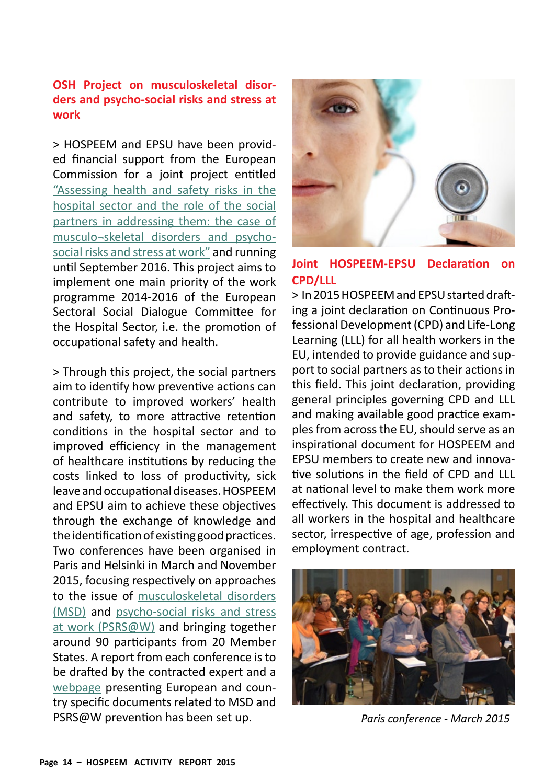## **OSH Project on musculoskeletal disorders and psycho-social risks and stress at work**

> HOSPEEM and EPSU have been provided financial support from the European Commission for a joint project entitled "Assessing health and safety risks in the hospital sector and the role of the social partners in addressing them: the case of musculo¬skeletal disorders and psychosocial risks and stress at work" and running until September 2016. This project aims to implement one main priority of the work programme 2014-2016 of the European Sectoral Social Dialogue Committee for the Hospital Sector, i.e. the promotion of occupational safety and health.

> Through this project, the social partners aim to identify how preventive actions can contribute to improved workers' health and safety, to more attractive retention conditions in the hospital sector and to improved efficiency in the management of healthcare institutions by reducing the costs linked to loss of productivity, sick leave and occupational diseases. HOSPEEM and EPSU aim to achieve these objectives through the exchange of knowledge and the identification of existing good practices. Two conferences have been organised in Paris and Helsinki in March and November 2015, focusing respectively on approaches to the issue of musculoskeletal disorders (MSD) and psycho-social risks and stress at work (PSRS@W) and bringing together around 90 participants from 20 Member States. A report from each conference is to be drafted by the contracted expert and a webpage presenting European and country specific documents related to MSD and PSRS@W prevention has been set up. *Paris conference - March 2015*



## **Joint HOSPEEM-EPSU Declaration on CPD/LLL**

> In 2015 HOSPEEM and EPSU started drafting a joint declaration on Continuous Professional Development (CPD) and Life-Long Learning (LLL) for all health workers in the EU, intended to provide guidance and support to social partners as to their actions in this field. This joint declaration, providing general principles governing CPD and LLL and making available good practice examples from across the EU, should serve as an inspirational document for HOSPEEM and EPSU members to create new and innovative solutions in the field of CPD and LLL at national level to make them work more effectively. This document is addressed to all workers in the hospital and healthcare sector, irrespective of age, profession and employment contract.

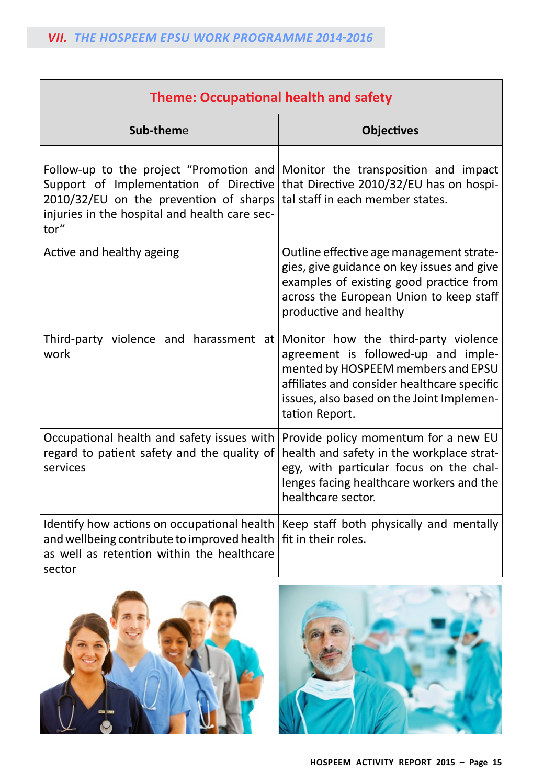| <b>Theme: Occupational health and safety</b>                                                                                                                                         |                                                                                                                                                                                                                                 |  |  |
|--------------------------------------------------------------------------------------------------------------------------------------------------------------------------------------|---------------------------------------------------------------------------------------------------------------------------------------------------------------------------------------------------------------------------------|--|--|
| Sub-theme                                                                                                                                                                            | <b>Objectives</b>                                                                                                                                                                                                               |  |  |
| Follow-up to the project "Promotion and<br>Support of Implementation of Directive<br>2010/32/EU on the prevention of sharps<br>injuries in the hospital and health care sec-<br>tor" | Monitor the transposition and impact<br>that Directive 2010/32/EU has on hospi-<br>tal staff in each member states.                                                                                                             |  |  |
| Active and healthy ageing                                                                                                                                                            | Outline effective age management strate-<br>gies, give guidance on key issues and give<br>examples of existing good practice from<br>across the European Union to keep staff<br>productive and healthy                          |  |  |
| Third-party violence and harassment at<br>work                                                                                                                                       | Monitor how the third-party violence<br>agreement is followed-up and imple-<br>mented by HOSPEEM members and EPSU<br>affiliates and consider healthcare specific<br>issues, also based on the Joint Implemen-<br>tation Report. |  |  |
| Occupational health and safety issues with<br>regard to patient safety and the quality of<br>services                                                                                | Provide policy momentum for a new EU<br>health and safety in the workplace strat-<br>egy, with particular focus on the chal-<br>lenges facing healthcare workers and the<br>healthcare sector.                                  |  |  |
| Identify how actions on occupational health<br>and wellbeing contribute to improved health<br>as well as retention within the healthcare<br>sector                                   | Keep staff both physically and mentally<br>fit in their roles.                                                                                                                                                                  |  |  |



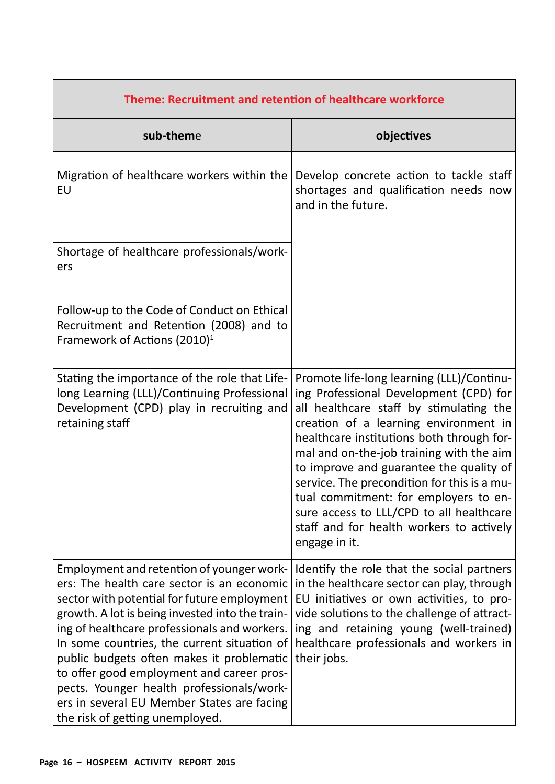| Theme: Recruitment and retention of healthcare workforce                                                                                                                                                                                                                                                                                                                                                                                                                                                         |                                                                                                                                                                                                                                                                                                                                                                                                                                                                                                              |  |  |
|------------------------------------------------------------------------------------------------------------------------------------------------------------------------------------------------------------------------------------------------------------------------------------------------------------------------------------------------------------------------------------------------------------------------------------------------------------------------------------------------------------------|--------------------------------------------------------------------------------------------------------------------------------------------------------------------------------------------------------------------------------------------------------------------------------------------------------------------------------------------------------------------------------------------------------------------------------------------------------------------------------------------------------------|--|--|
| sub-theme                                                                                                                                                                                                                                                                                                                                                                                                                                                                                                        | objectives                                                                                                                                                                                                                                                                                                                                                                                                                                                                                                   |  |  |
| Migration of healthcare workers within the<br>EU                                                                                                                                                                                                                                                                                                                                                                                                                                                                 | Develop concrete action to tackle staff<br>shortages and qualification needs now<br>and in the future.                                                                                                                                                                                                                                                                                                                                                                                                       |  |  |
| Shortage of healthcare professionals/work-<br>ers                                                                                                                                                                                                                                                                                                                                                                                                                                                                |                                                                                                                                                                                                                                                                                                                                                                                                                                                                                                              |  |  |
| Follow-up to the Code of Conduct on Ethical<br>Recruitment and Retention (2008) and to<br>Framework of Actions (2010) <sup>1</sup>                                                                                                                                                                                                                                                                                                                                                                               |                                                                                                                                                                                                                                                                                                                                                                                                                                                                                                              |  |  |
| Stating the importance of the role that Life-<br>long Learning (LLL)/Continuing Professional<br>Development (CPD) play in recruiting and<br>retaining staff                                                                                                                                                                                                                                                                                                                                                      | Promote life-long learning (LLL)/Continu-<br>ing Professional Development (CPD) for<br>all healthcare staff by stimulating the<br>creation of a learning environment in<br>healthcare institutions both through for-<br>mal and on-the-job training with the aim<br>to improve and guarantee the quality of<br>service. The precondition for this is a mu-<br>tual commitment: for employers to en-<br>sure access to LLL/CPD to all healthcare<br>staff and for health workers to actively<br>engage in it. |  |  |
| Employment and retention of younger work-<br>ers: The health care sector is an economic<br>sector with potential for future employment<br>growth. A lot is being invested into the train-<br>ing of healthcare professionals and workers.<br>In some countries, the current situation of<br>public budgets often makes it problematic<br>to offer good employment and career pros-<br>pects. Younger health professionals/work-<br>ers in several EU Member States are facing<br>the risk of getting unemployed. | Identify the role that the social partners<br>in the healthcare sector can play, through<br>EU initiatives or own activities, to pro-<br>vide solutions to the challenge of attract-<br>ing and retaining young (well-trained)<br>healthcare professionals and workers in<br>their jobs.                                                                                                                                                                                                                     |  |  |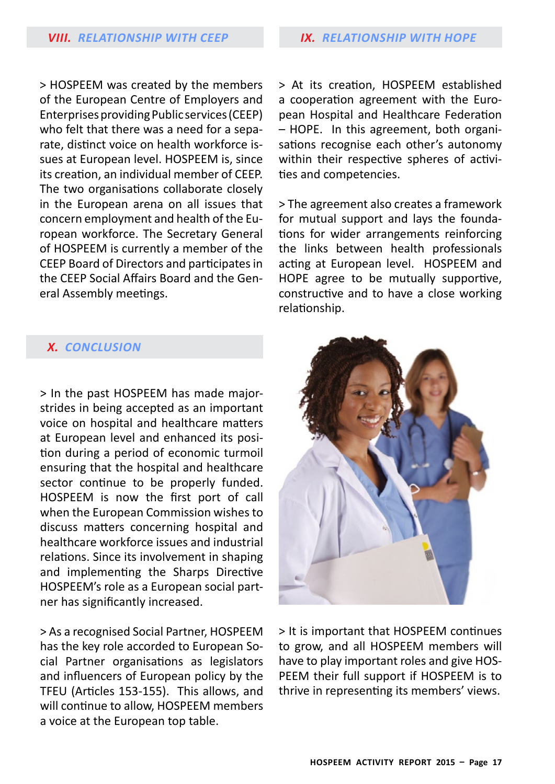> HOSPEEM was created by the members of the European Centre of Employers and Enterprises providing Public services (CEEP) who felt that there was a need for a separate, distinct voice on health workforce issues at European level. HOSPEEM is, since its creation, an individual member of CEEP. The two organisations collaborate closely in the European arena on all issues that concern employment and health of the European workforce. The Secretary General of HOSPEEM is currently a member of the CEEP Board of Directors and participates in the CEEP Social Affairs Board and the General Assembly meetings.

> At its creation, HOSPEEM established a cooperation agreement with the European Hospital and Healthcare Federation – HOPE. In this agreement, both organisations recognise each other's autonomy within their respective spheres of activities and competencies.

> The agreement also creates a framework for mutual support and lays the foundations for wider arrangements reinforcing the links between health professionals acting at European level. HOSPEEM and HOPE agree to be mutually supportive, constructive and to have a close working relationship.

## *X. conclusion*

> In the past HOSPEEM has made majorstrides in being accepted as an important voice on hospital and healthcare matters at European level and enhanced its position during a period of economic turmoil ensuring that the hospital and healthcare sector continue to be properly funded. HOSPEEM is now the first port of call when the European Commission wishes to discuss matters concerning hospital and healthcare workforce issues and industrial relations. Since its involvement in shaping and implementing the Sharps Directive HOSPEEM's role as a European social partner has significantly increased.

> As a recognised Social Partner, HOSPEEM has the key role accorded to European Social Partner organisations as legislators and influencers of European policy by the TFEU (Articles 153-155). This allows, and will continue to allow, HOSPEEM members a voice at the European top table.



> It is important that HOSPEEM continues to grow, and all HOSPEEM members will have to play important roles and give HOS-PEEM their full support if HOSPEEM is to thrive in representing its members' views.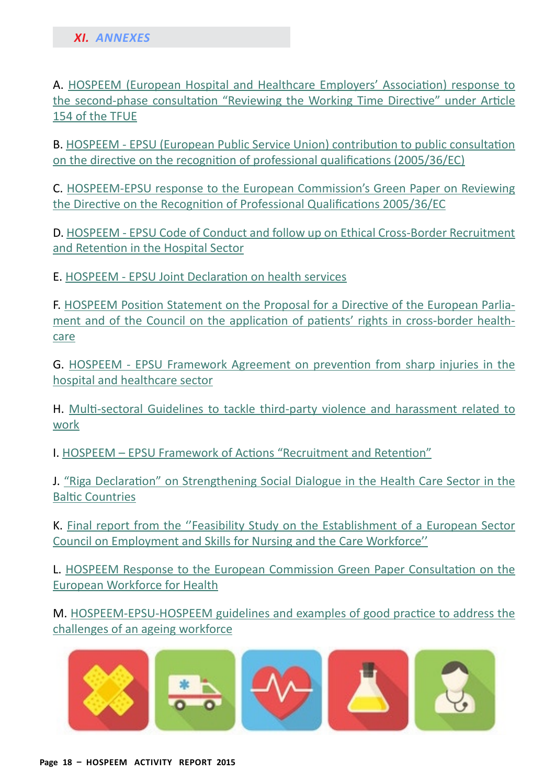A. [HOSPEEM \(European Hospital and Healthcare Employers' Association\) response to](Mailto:johanna.karlstrom@kt.fi)  [the second-phase consultation "Reviewing the Working Time Directive" under Article](Mailto:johanna.karlstrom@kt.fi)  [154 of the TFUE](Mailto:johanna.karlstrom@kt.fi)

B. [HOSPEEM - EPSU \(European Public Service Union\) contribution to public consultation](http://hospeem.org/?p=926)  [on the directive on the recognition of professional qualifications \(2005/36/EC\)](http://hospeem.org/?p=926)

C. [HOSPEEM-EPSU response to the European Commission's Green Paper on Reviewing](http://hospeem.org/?p=885)  [the Directive on the Recognition of Professional Qualifications 2005/36/E](http://hospeem.org/?p=885)C

D. [HOSPEEM - EPSU Code of Conduct and follow up on Ethical Cross-Border Recruitment](http://hospeem.org/?p=567)  [and Retention in the Hospital Secto](http://hospeem.org/?p=567)r

E. [HOSPEEM - EPSU Joint Declaration on health service](http://hospeem.org/?p=549)s

F. [HOSPEEM Position Statement on the Proposal for a Directive of the European Parlia](http://hospeem.org/?p=908)[ment and of the Council on the application of patients' rights in cross-border health](http://hospeem.org/?p=908)[care](http://hospeem.org/?p=908)

G. [HOSPEEM - EPSU Framework Agreement on prevention from sharp injuries in the](http://hospeem.org/?p=664)  [hospital and healthcare sector](http://hospeem.org/?p=664)

H. [Multi-sectoral Guidelines to tackle third-party violence and harassment related to](http://hospeem.org/?p=727)  [work](http://hospeem.org/?p=727)

I. [HOSPEEM – EPSU Framework of Actions "Recruitment and Retention](http://hospeem.org/?p=2794)"

J. ["Riga Declaration" on Strengthening Social Dialogue in the Health Care Sector in the](http://hospeem.org/wordpress/wp-content/uploads/2011/11/Riga-Declaration.pdf)  [Baltic Countrie](http://hospeem.org/wordpress/wp-content/uploads/2011/11/Riga-Declaration.pdf)s

K. [Final report from the ''Feasibility Study on the Establishment of a European Sector](http://www.skillsfornursingandcare.eu./assets/documents/20121010%20Feasibility%20Study%20-%20Reportv2.pdf)  [Council on Employment and Skills for Nursing and the Care Workforce'](http://www.skillsfornursingandcare.eu./assets/documents/20121010%20Feasibility%20Study%20-%20Reportv2.pdf)'

L. [HOSPEEM Response to the European Commission Green Paper Consultation on the](http://hospeem.org/?p=895)  [European Workforce for Health](http://hospeem.org/?p=895)

M. [HOSPEEM-EPSU-HOSPEEM guidelines and examples of good practice to address the](http://hospeem.org/wordpress/wp-content/uploads/2014/10/12.17_R_R_Final_EN_signed.pdf)  [challenges of an ageing workforce](http://hospeem.org/wordpress/wp-content/uploads/2014/10/12.17_R_R_Final_EN_signed.pdf)

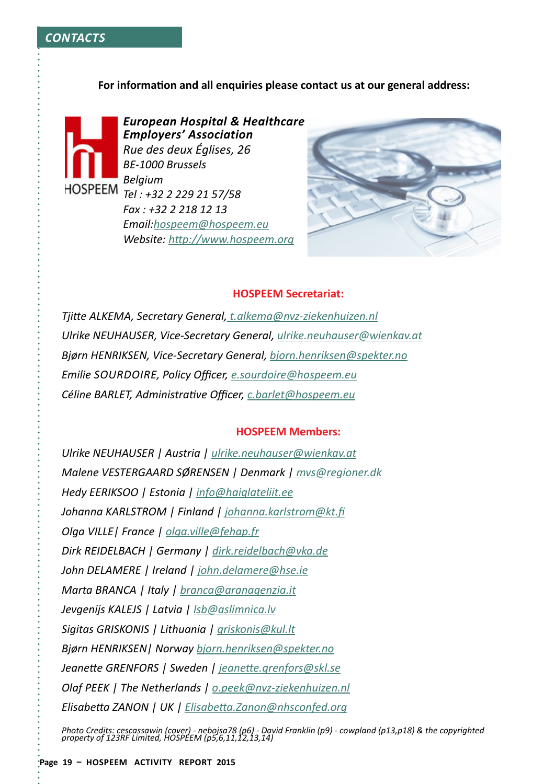#### **For information and all enquiries please contact us at our general address:**



*European Hospital & Healthcare Employers' Association Rue des deux églises, 26 BE-1000 Brussels Belgium Tel : +32 2 229 21 57/58 Fax : +32 2 218 12 13 Email:[hospeem@hospeem.eu](http://hospeem.org/) Website: [http://www.hospeem.org](#page-0-0)*



#### **HOSPEEM Secretariat:**

*Tjitte ALKEMA, Secretary General, [t.alkema@nvz-ziekenhuizen.nl](http://hospeem.org/) Ulrike NEUHAUSER, Vice-Secretary General, [ulrike.neuhauser@wienkav.a](http://www.epsu.org)t Bjørn HENRIKSEN, Vice-Secretary General, [bjorn.henriksen@spekter.no](http://www.epsu.org) Emilie Sourdoire, Policy Officer, [e.sourdoire@hospeem.eu](Mailto:e.sourdoire@hospeem.eu) Céline BARLET, Administrative Officer, [c.barlet@hospeem.eu](http://hospeem.org/)*

#### **HOSPEEM Members:**

*Ulrike NEUHAUSER | Austria | [ulrike.neuhauser@wienkav.a](http://www.epsu.org)t Malene VESTERGAARD SØRENSEN | Denmark | mvs[@regioner.dk](http://hospeem.org/) Hedy EERIKSOO | Estonia | [info@haiglateliit.e](http://hospeem.org/)e Johanna KARLSTROM | Finland | [johanna.karlstrom@kt.fi](Mailto:johanna.karlstrom@kt.fi) Olga VILLE| France | [olga.ville@fehap.f](Mailto:olga.ville@fehap.fr)r Dirk REIDELBACH | Germany | [dirk.reidelbach@vka.d](Mailto:johanna.karlstrom@kt.fi)e John DELAMERE | Ireland | [john.delamere@hse.ie](http://www.epsu.org) Marta BRANCA | Italy | [branca@aranagenzia.i](Mailto:branca@aranagenzia.it)t Jevgenijs KALEJS | Latvia | [lsb@aslimnica.lv](http://www.epsu.org) Sigitas GRISKONIS | Lithuania | [griskonis@kul.l](http://www.epsu.org)t Bjørn HENRIKSEN| Norway [bjorn.henriksen@spekter.no](http://www.epsu.org) Jeanette GRENFORS | Sweden | [jeanette.grenfors@skl.s](http://www.epsu.org)e Olaf PEEK | The Netherlands | [o.peek@nvz-ziekenhuizen.nl](Mailto:johanna.karlstrom@kt.fi) Elisabetta ZANON | UK | [Elisabetta.Zanon@nhsconfed.org](http://www.epsu.org)*

*Photo Credits: cescassawin (cover) - nebojsa78 (p6) - David Franklin (p9) - cowpland (p13,p18) & the copyrighted property of 123RF Limited, HOSPEEM (p5,6,11,12,13,14)*